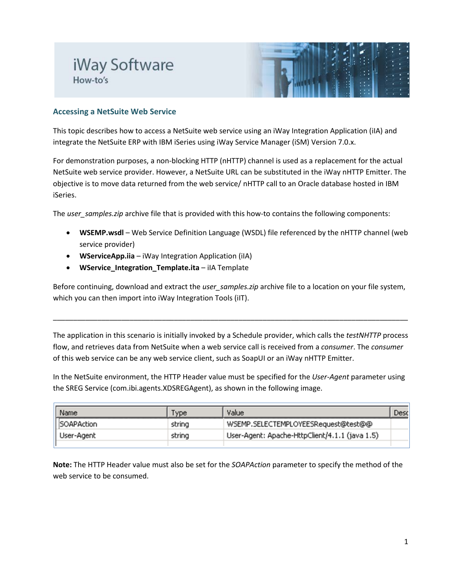## iWay Software How-to's



## **Accessing a NetSuite Web Service**

This topic describes how to access a NetSuite web service using an iWay Integration Application (iIA) and integrate the NetSuite ERP with IBM iSeries using iWay Service Manager (iSM) Version 7.0.x.

For demonstration purposes, a non-blocking HTTP (nHTTP) channel is used as a replacement for the actual NetSuite web service provider. However, a NetSuite URL can be substituted in the iWay nHTTP Emitter. The objective is to move data returned from the web service/ nHTTP call to an Oracle database hosted in IBM iSeries.

The *user\_samples.zip* archive file that is provided with this how-to contains the following components:

- **WSEMP.wsdl** Web Service Definition Language (WSDL) file referenced by the nHTTP channel (web service provider)
- **WServiceApp.iia** iWay Integration Application (iIA)
- **WService\_Integration\_Template.ita** iIA Template

Before continuing, download and extract the *user\_samples.zip* archive file to a location on your file system, which you can then import into iWay Integration Tools (iIT).

\_\_\_\_\_\_\_\_\_\_\_\_\_\_\_\_\_\_\_\_\_\_\_\_\_\_\_\_\_\_\_\_\_\_\_\_\_\_\_\_\_\_\_\_\_\_\_\_\_\_\_\_\_\_\_\_\_\_\_\_\_\_\_\_\_\_\_\_\_\_\_\_\_\_\_\_\_\_\_\_\_\_\_\_\_\_\_\_

The application in this scenario is initially invoked by a Schedule provider, which calls the *testNHTTP* process flow, and retrieves data from NetSuite when a web service call is received from a *consumer*. The *consumer* of this web service can be any web service client, such as SoapUI or an iWay nHTTP Emitter.

In the NetSuite environment, the HTTP Header value must be specified for the *User-Agent* parameter using the SREG Service (com.ibi.agents.XDSREGAgent), as shown in the following image.

| Name       | Type.  | Value                                          | Desc |
|------------|--------|------------------------------------------------|------|
| SOAPAction | string | WSEMP.SELECTEMPLOYEESRequest@test@@            |      |
| User-Agent | string | User-Agent: Apache-HttpClient/4.1.1 (java 1.5) |      |
|            |        |                                                |      |

**Note:** The HTTP Header value must also be set for the *SOAPAction* parameter to specify the method of the web service to be consumed.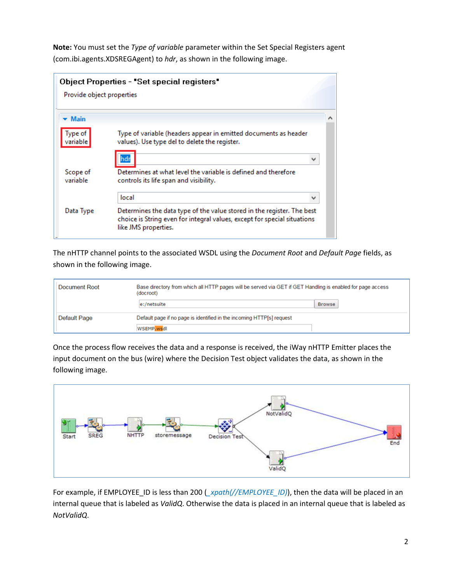**Note:** You must set the *Type of variable* parameter within the Set Special Registers agent (com.ibi.agents.XDSREGAgent) to *hdr*, as shown in the following image.

|                           | Object Properties - "Set special registers"                                                                                                                                |  |
|---------------------------|----------------------------------------------------------------------------------------------------------------------------------------------------------------------------|--|
| Provide object properties |                                                                                                                                                                            |  |
| <b>Main</b>               |                                                                                                                                                                            |  |
| Type of<br>variable       | Type of variable (headers appear in emitted documents as header<br>values). Use type del to delete the register.                                                           |  |
|                           |                                                                                                                                                                            |  |
| Scope of<br>variable      | Determines at what level the variable is defined and therefore<br>controls its life span and visibility.                                                                   |  |
|                           | local                                                                                                                                                                      |  |
| Data Type                 | Determines the data type of the value stored in the register. The best<br>choice is String even for integral values, except for special situations<br>like JMS properties. |  |

The nHTTP channel points to the associated WSDL using the *Document Root* and *Default Page* fields, as shown in the following image.

| Document Root                                                                         | Base directory from which all HTTP pages will be served via GET if GET Handling is enabled for page access<br>(docroot) |               |  |
|---------------------------------------------------------------------------------------|-------------------------------------------------------------------------------------------------------------------------|---------------|--|
|                                                                                       | e:/netsuite                                                                                                             | <b>Browse</b> |  |
| Default Page<br>Default page if no page is identified in the incoming HTTP[s] request |                                                                                                                         |               |  |
|                                                                                       | WSEMP.wsdl                                                                                                              |               |  |

Once the process flow receives the data and a response is received, the iWay nHTTP Emitter places the input document on the bus (wire) where the Decision Test object validates the data, as shown in the following image.



For example, if EMPLOYEE\_ID is less than 200 (*\_xpath(//EMPLOYEE\_ID)*), then the data will be placed in an internal queue that is labeled as *ValidQ*. Otherwise the data is placed in an internal queue that is labeled as *NotValidQ*.